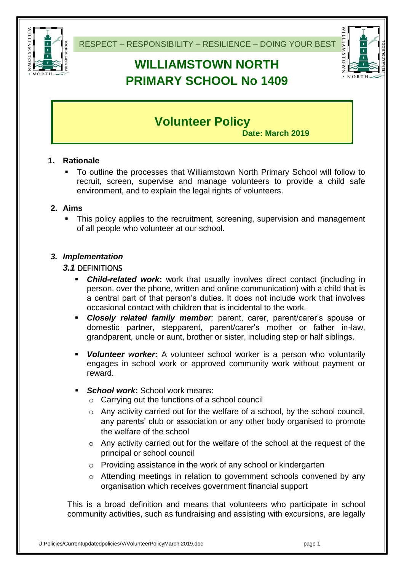

# **WILLIAMSTOWN NORTH PRIMARY SCHOOL No 1409**



# **Volunteer Policy**

**Date: March 2019**

# **1. Rationale**

 To outline the processes that Williamstown North Primary School will follow to recruit, screen, supervise and manage volunteers to provide a child safe environment, and to explain the legal rights of volunteers.

# **2. Aims**

• This policy applies to the recruitment, screening, supervision and management of all people who volunteer at our school.

# *3. Implementation*

### *3.1* DEFINITIONS

- *Child-related work***:** work that usually involves direct contact (including in person, over the phone, written and online communication) with a child that is a central part of that person's duties. It does not include work that involves occasional contact with children that is incidental to the work.
- *Closely related family member:* parent, carer, parent/carer's spouse or domestic partner, stepparent, parent/carer's mother or father in-law, grandparent, uncle or aunt, brother or sister, including step or half siblings.
- *Volunteer worker***:** A volunteer school worker is a person who voluntarily engages in school work or approved community work without payment or reward.
- *School work***:** School work means:
	- o Carrying out the functions of a school council
	- o Any activity carried out for the welfare of a school, by the school council, any parents' club or association or any other body organised to promote the welfare of the school
	- o Any activity carried out for the welfare of the school at the request of the principal or school council
	- o Providing assistance in the work of any school or kindergarten
	- o Attending meetings in relation to government schools convened by any organisation which receives government financial support

This is a broad definition and means that volunteers who participate in school community activities, such as fundraising and assisting with excursions, are legally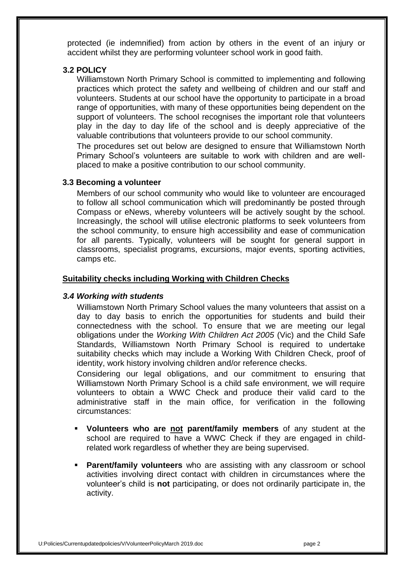protected (ie indemnified) from action by others in the event of an injury or accident whilst they are performing volunteer school work in good faith.

#### **3.2 POLICY**

Williamstown North Primary School is committed to implementing and following practices which protect the safety and wellbeing of children and our staff and volunteers. Students at our school have the opportunity to participate in a broad range of opportunities, with many of these opportunities being dependent on the support of volunteers. The school recognises the important role that volunteers play in the day to day life of the school and is deeply appreciative of the valuable contributions that volunteers provide to our school community.

The procedures set out below are designed to ensure that Williamstown North Primary School's volunteers are suitable to work with children and are wellplaced to make a positive contribution to our school community.

#### **3.3 Becoming a volunteer**

Members of our school community who would like to volunteer are encouraged to follow all school communication which will predominantly be posted through Compass or eNews, whereby volunteers will be actively sought by the school. Increasingly, the school will utilise electronic platforms to seek volunteers from the school community, to ensure high accessibility and ease of communication for all parents. Typically, volunteers will be sought for general support in classrooms, specialist programs, excursions, major events, sporting activities, camps etc.

#### **Suitability checks including Working with Children Checks**

#### *3.4 Working with students*

Williamstown North Primary School values the many volunteers that assist on a day to day basis to enrich the opportunities for students and build their connectedness with the school. To ensure that we are meeting our legal obligations under the *Working With Children Act 2005* (Vic) and the Child Safe Standards, Williamstown North Primary School is required to undertake suitability checks which may include a Working With Children Check, proof of identity, work history involving children and/or reference checks.

Considering our legal obligations, and our commitment to ensuring that Williamstown North Primary School is a child safe environment, we will require volunteers to obtain a WWC Check and produce their valid card to the administrative staff in the main office, for verification in the following circumstances:

- **Volunteers who are not parent/family members** of any student at the school are required to have a WWC Check if they are engaged in childrelated work regardless of whether they are being supervised.
- **Parent/family volunteers** who are assisting with any classroom or school activities involving direct contact with children in circumstances where the volunteer's child is **not** participating, or does not ordinarily participate in, the activity.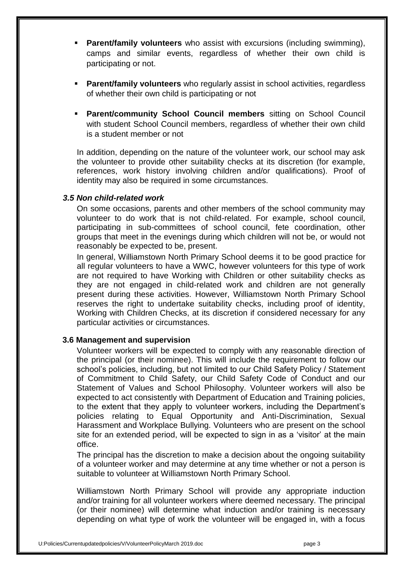- **Parent/family volunteers** who assist with excursions (including swimming), camps and similar events, regardless of whether their own child is participating or not.
- **Parent/family volunteers** who regularly assist in school activities, regardless of whether their own child is participating or not
- **Parent/community School Council members** sitting on School Council with student School Council members, regardless of whether their own child is a student member or not

In addition, depending on the nature of the volunteer work, our school may ask the volunteer to provide other suitability checks at its discretion (for example, references, work history involving children and/or qualifications). Proof of identity may also be required in some circumstances.

#### *3.5 Non child-related work*

On some occasions, parents and other members of the school community may volunteer to do work that is not child-related. For example, school council, participating in sub-committees of school council, fete coordination, other groups that meet in the evenings during which children will not be, or would not reasonably be expected to be, present.

In general, Williamstown North Primary School deems it to be good practice for all regular volunteers to have a WWC, however volunteers for this type of work are not required to have Working with Children or other suitability checks as they are not engaged in child-related work and children are not generally present during these activities. However, Williamstown North Primary School reserves the right to undertake suitability checks, including proof of identity, Working with Children Checks, at its discretion if considered necessary for any particular activities or circumstances.

#### **3.6 Management and supervision**

Volunteer workers will be expected to comply with any reasonable direction of the principal (or their nominee). This will include the requirement to follow our school's policies, including, but not limited to our Child Safety Policy / Statement of Commitment to Child Safety, our Child Safety Code of Conduct and our Statement of Values and School Philosophy. Volunteer workers will also be expected to act consistently with Department of Education and Training policies, to the extent that they apply to volunteer workers, including the Department's policies relating to Equal Opportunity and Anti-Discrimination, Sexual Harassment and Workplace Bullying. Volunteers who are present on the school site for an extended period, will be expected to sign in as a 'visitor' at the main office.

The principal has the discretion to make a decision about the ongoing suitability of a volunteer worker and may determine at any time whether or not a person is suitable to volunteer at Williamstown North Primary School.

Williamstown North Primary School will provide any appropriate induction and/or training for all volunteer workers where deemed necessary. The principal (or their nominee) will determine what induction and/or training is necessary depending on what type of work the volunteer will be engaged in, with a focus